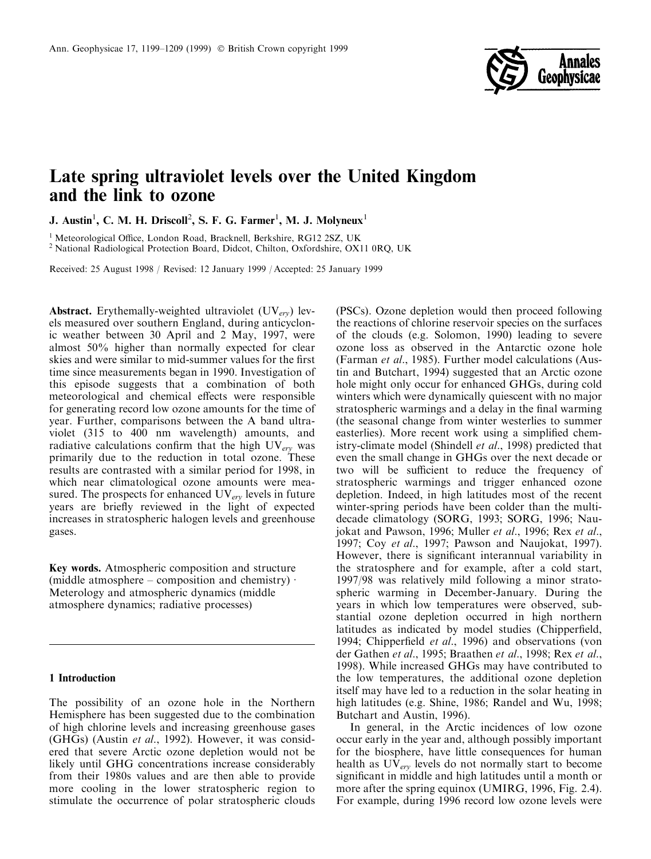

# Late spring ultraviolet levels over the United Kingdom and the link to ozone

J. Austin<sup>1</sup>, C. M. H. Driscoll<sup>2</sup>, S. F. G. Farmer<sup>1</sup>, M. J. Molyneux<sup>1</sup>

<sup>1</sup> Meteorological Office, London Road, Bracknell, Berkshire, RG12 2SZ, UK

<sup>2</sup> National Radiological Protection Board, Didcot, Chilton, Oxfordshire, OX11 0RQ, UK

Received: 25 August 1998 / Revised: 12 January 1999 / Accepted: 25 January 1999

**Abstract.** Erythemally-weighted ultraviolet ( $UV_{erv}$ ) levels measured over southern England, during anticyclonic weather between 30 April and 2 May, 1997, were almost 50% higher than normally expected for clear skies and were similar to mid-summer values for the first time since measurements began in 1990. Investigation of this episode suggests that a combination of both meteorological and chemical effects were responsible for generating record low ozone amounts for the time of year. Further, comparisons between the A band ultraviolet (315 to 400 nm wavelength) amounts, and radiative calculations confirm that the high  $UV_{evv}$  was primarily due to the reduction in total ozone. These results are contrasted with a similar period for 1998, in which near climatological ozone amounts were measured. The prospects for enhanced  $UV_{ery}$  levels in future years are briefly reviewed in the light of expected increases in stratospheric halogen levels and greenhouse gases.

Key words. Atmospheric composition and structure (middle atmosphere  $-\text{composition}$  and chemistry). Meterology and atmospheric dynamics (middle atmosphere dynamics; radiative processes)

## 1 Introduction

The possibility of an ozone hole in the Northern Hemisphere has been suggested due to the combination of high chlorine levels and increasing greenhouse gases (GHGs) (Austin et al., 1992). However, it was considered that severe Arctic ozone depletion would not be likely until GHG concentrations increase considerably from their 1980s values and are then able to provide more cooling in the lower stratospheric region to stimulate the occurrence of polar stratospheric clouds

(PSCs). Ozone depletion would then proceed following the reactions of chlorine reservoir species on the surfaces of the clouds (e.g. Solomon, 1990) leading to severe ozone loss as observed in the Antarctic ozone hole (Farman et al., 1985). Further model calculations (Austin and Butchart, 1994) suggested that an Arctic ozone hole might only occur for enhanced GHGs, during cold winters which were dynamically quiescent with no major stratospheric warmings and a delay in the final warming (the seasonal change from winter westerlies to summer easterlies). More recent work using a simplified chemistry-climate model (Shindell et al., 1998) predicted that even the small change in GHGs over the next decade or two will be sufficient to reduce the frequency of stratospheric warmings and trigger enhanced ozone depletion. Indeed, in high latitudes most of the recent winter-spring periods have been colder than the multidecade climatology (SORG, 1993; SORG, 1996; Naujokat and Pawson, 1996; Muller *et al.*, 1996; Rex *et al.*, 1997; Coy et al., 1997; Pawson and Naujokat, 1997). However, there is significant interannual variability in the stratosphere and for example, after a cold start, 1997/98 was relatively mild following a minor stratospheric warming in December-January. During the years in which low temperatures were observed, substantial ozone depletion occurred in high northern latitudes as indicated by model studies (Chipperfield, 1994; Chipperfield et al., 1996) and observations (von der Gathen et al., 1995; Braathen et al., 1998; Rex et al., 1998). While increased GHGs may have contributed to the low temperatures, the additional ozone depletion itself may have led to a reduction in the solar heating in high latitudes (e.g. Shine, 1986; Randel and Wu, 1998; Butchart and Austin, 1996).

In general, in the Arctic incidences of low ozone occur early in the year and, although possibly important for the biosphere, have little consequences for human health as  $UV_{ery}$  levels do not normally start to become significant in middle and high latitudes until a month or more after the spring equinox (UMIRG, 1996, Fig. 2.4). For example, during 1996 record low ozone levels were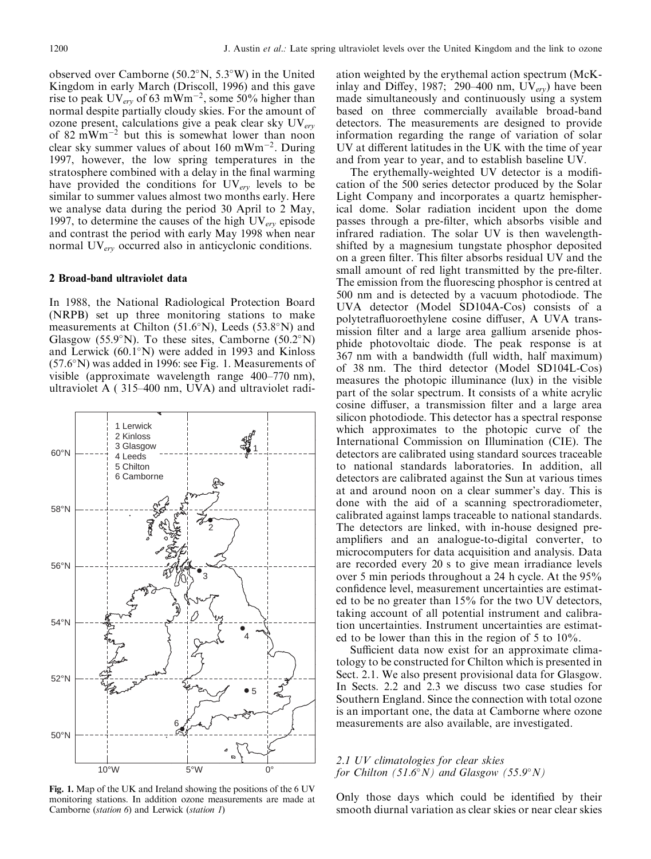observed over Camborne (50.2°N, 5.3°W) in the United Kingdom in early March (Driscoll, 1996) and this gave rise to peak  $UV_{\text{ery}}$  of 63 mWm<sup>-2</sup>, some 50% higher than normal despite partially cloudy skies. For the amount of ozone present, calculations give a peak clear sky  $UV_{ery}$ of 82 mWm<sup>-2</sup> but this is somewhat lower than noon clear sky summer values of about 160 mWm<sup> $-2$ </sup>. During 1997, however, the low spring temperatures in the stratosphere combined with a delay in the final warming have provided the conditions for  $UV_{erv}$  levels to be similar to summer values almost two months early. Here we analyse data during the period 30 April to 2 May, 1997, to determine the causes of the high  $UV_{ery}$  episode and contrast the period with early May 1998 when near normal  $UV_{\text{erv}}$  occurred also in anticyclonic conditions.

#### 2 Broad-band ultraviolet data

In 1988, the National Radiological Protection Board (NRPB) set up three monitoring stations to make measurements at Chilton (51.6°N), Leeds (53.8°N) and Glasgow (55.9°N). To these sites, Camborne (50.2°N) and Lerwick  $(60.1^{\circ}N)$  were added in 1993 and Kinloss  $(57.6°N)$  was added in 1996: see Fig. 1. Measurements of visible (approximate wavelength range  $400-770$  nm), ultraviolet A  $(315-400 \text{ nm}, \text{UVA})$  and ultraviolet radi-



Fig. 1. Map of the UK and Ireland showing the positions of the 6 UV monitoring stations. In addition ozone measurements are made at Camborne (station 6) and Lerwick (station 1)

ation weighted by the erythemal action spectrum (McKinlay and Diffey, 1987; 290–400 nm,  $UV_{ev}$ ) have been made simultaneously and continuously using a system based on three commercially available broad-band detectors. The measurements are designed to provide information regarding the range of variation of solar UV at different latitudes in the UK with the time of year and from year to year, and to establish baseline UV.

The erythemally-weighted UV detector is a modification of the 500 series detector produced by the Solar Light Company and incorporates a quartz hemispherical dome. Solar radiation incident upon the dome passes through a pre-filter, which absorbs visible and infrared radiation. The solar UV is then wavelengthshifted by a magnesium tungstate phosphor deposited on a green filter. This filter absorbs residual UV and the small amount of red light transmitted by the pre-filter. The emission from the fluorescing phosphor is centred at 500 nm and is detected by a vacuum photodiode. The UVA detector (Model SD104A-Cos) consists of a polytetrafluoroethylene cosine diffuser, A UVA transmission filter and a large area gallium arsenide phosphide photovoltaic diode. The peak response is at 367 nm with a bandwidth (full width, half maximum) of 38 nm. The third detector (Model SD104L-Cos) measures the photopic illuminance (lux) in the visible part of the solar spectrum. It consists of a white acrylic cosine diffuser, a transmission filter and a large area silicon photodiode. This detector has a spectral response which approximates to the photopic curve of the International Commission on Illumination (CIE). The detectors are calibrated using standard sources traceable to national standards laboratories. In addition, all detectors are calibrated against the Sun at various times at and around noon on a clear summer's day. This is done with the aid of a scanning spectroradiometer, calibrated against lamps traceable to national standards. The detectors are linked, with in-house designed preamplifiers and an analogue-to-digital converter, to microcomputers for data acquisition and analysis. Data are recorded every 20 s to give mean irradiance levels over 5 min periods throughout a 24 h cycle. At the 95% confidence level, measurement uncertainties are estimated to be no greater than 15% for the two UV detectors, taking account of all potential instrument and calibration uncertainties. Instrument uncertainties are estimated to be lower than this in the region of 5 to 10%.

Sufficient data now exist for an approximate climatology to be constructed for Chilton which is presented in Sect. 2.1. We also present provisional data for Glasgow. In Sects. 2.2 and 2.3 we discuss two case studies for Southern England. Since the connection with total ozone is an important one, the data at Camborne where ozone measurements are also available, are investigated.

#### 2.1 UV climatologies for clear skies for Chilton (51.6°N) and Glasgow (55.9°N)

Only those days which could be identified by their smooth diurnal variation as clear skies or near clear skies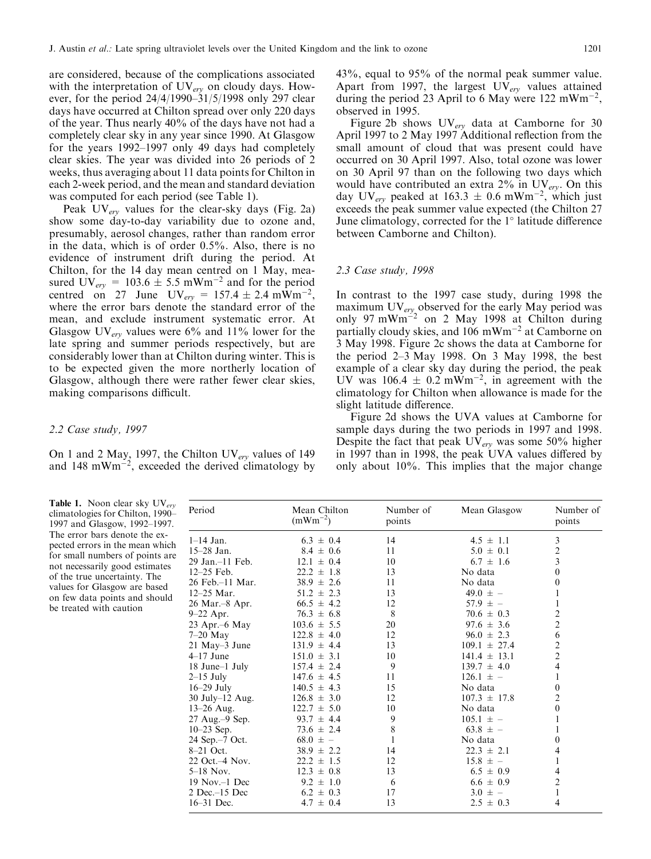are considered, because of the complications associated with the interpretation of  $UV_{\text{erv}}$  on cloudy days. However, for the period  $24/4/1990-31/5/1998$  only 297 clear days have occurred at Chilton spread over only 220 days of the year. Thus nearly 40% of the days have not had a completely clear sky in any year since 1990. At Glasgow for the years  $1992-1997$  only 49 days had completely clear skies. The year was divided into 26 periods of 2 weeks, thus averaging about 11 data points for Chilton in each 2-week period, and the mean and standard deviation was computed for each period (see Table 1).

Peak  $UV_{\text{erv}}$  values for the clear-sky days (Fig. 2a) show some day-to-day variability due to ozone and, presumably, aerosol changes, rather than random error in the data, which is of order 0.5%. Also, there is no evidence of instrument drift during the period. At Chilton, for the 14 day mean centred on 1 May, measured  $UV_{ery} = 103.6 \pm 5.5$  mWm<sup>-2</sup> and for the period centred on 27 June  $UV_{ery} = 157.4 \pm 2.4 \text{ mWm}^{-2}$ , where the error bars denote the standard error of the mean, and exclude instrument systematic error. At Glasgow UV<sub>ery</sub> values were  $6\%$  and  $11\%$  lower for the late spring and summer periods respectively, but are considerably lower than at Chilton during winter. This is to be expected given the more northerly location of Glasgow, although there were rather fewer clear skies, making comparisons difficult.

#### 2.2 Case study, 1997

On 1 and 2 May, 1997, the Chilton  $UV_{ery}$  values of 149 and  $148 \text{ mWm}^{-2}$ , exceeded the derived climatology by

43%, equal to 95% of the normal peak summer value. Apart from 1997, the largest  $UV_{ery}$  values attained during the period 23 April to 6 May were 122 mWm<sup>-2</sup>, observed in 1995.

Figure 2b shows  $UV_{ery}$  data at Camborne for 30 April 1997 to 2 May 1997 Additional reflection from the small amount of cloud that was present could have occurred on 30 April 1997. Also, total ozone was lower on 30 April 97 than on the following two days which would have contributed an extra  $2\%$  in UV<sub>ery</sub>. On this day UV<sub>ery</sub> peaked at 163.3  $\pm$  0.6 mWm<sup>-2</sup>, which just exceeds the peak summer value expected (the Chilton 27 June climatology, corrected for the  $1^\circ$  latitude difference between Camborne and Chilton).

#### 2.3 Case study, 1998

In contrast to the 1997 case study, during 1998 the maximum  $UV_{\text{ery}}$  observed for the early May period was only 97 mWm<sup> $-2$ </sup> on 2 May 1998 at Chilton during partially cloudy skies, and  $106$  mWm<sup>-2</sup> at Camborne on 3 May 1998. Figure 2c shows the data at Camborne for the period  $2-3$  May 1998. On 3 May 1998, the best example of a clear sky day during the period, the peak UV was  $106.4 \pm 0.2$  mWm<sup>-2</sup>, in agreement with the climatology for Chilton when allowance is made for the slight latitude difference.

Figure 2d shows the UVA values at Camborne for sample days during the two periods in 1997 and 1998. Despite the fact that peak  $UV_{ery}$  was some 50% higher in 1997 than in 1998, the peak UVA values differed by only about 10%. This implies that the major change

**Table 1.** Noon clear sky  $UV_{\text{erv}}$ climatologies for Chilton, 1990-1997 and Glasgow, 1992-1997. The error bars denote the expected errors in the mean which for small numbers of points are not necessarily good estimates of the true uncertainty. The values for Glasgow are based on few data points and should be treated with caution

| Period              | Mean Chilton<br>$(mWm^{-2})$ | Number of<br>points | Mean Glasgow     | Number of<br>points     |
|---------------------|------------------------------|---------------------|------------------|-------------------------|
| $1-14$ Jan.         | $6.3 \pm 0.4$                | 14                  | $4.5 \pm 1.1$    | 3                       |
| $15-28$ Jan.        | $8.4 \pm 0.6$                | 11                  | $5.0 \pm 0.1$    | $\boldsymbol{2}$        |
| $29$ Jan $-11$ Feb. | $12.1 \pm 0.4$               | 10                  | $6.7 \pm 1.6$    | 3                       |
| $12 - 25$ Feb.      | $22.2 \pm 1.8$               | 13                  | No data          | $\overline{0}$          |
| 26 Feb. - 11 Mar.   | $38.9 \pm 2.6$               | 11                  | No data          | $\theta$                |
| $12 - 25$ Mar.      | $51.2 \pm 2.3$               | 13                  | $49.0 \pm -$     | 1                       |
| 26 Mar.-8 Apr.      | $66.5 \pm 4.2$               | 12                  | $57.9 \pm -$     | 1                       |
| $9 - 22$ Apr.       | $76.3 \pm 6.8$               | 8                   | $70.6 \pm 0.3$   | $\overline{\mathbf{c}}$ |
| $23$ Apr.–6 May     | $103.6 \pm 5.5$              | 20                  | $97.6 \pm 3.6$   | $\overline{c}$          |
| $7-20$ May          | $122.8 \pm 4.0$              | 12                  | $96.0 \pm 2.3$   | 6                       |
| $21$ May–3 June     | $131.9 \pm 4.4$              | 13                  | $109.1 \pm 27.4$ | $\frac{2}{2}$           |
| $4-17$ June         | $151.0 \pm 3.1$              | 10                  | $141.4 \pm 13.1$ |                         |
| 18 June–1 July      | $157.4 \pm 2.4$              | 9                   | $139.7 \pm 4.0$  | $\overline{4}$          |
| $2-15$ July         | $147.6 \pm 4.5$              | 11                  | $126.1 \pm -$    | 1                       |
| $16-29$ July        | $140.5 \pm 4.3$              | 15                  | No data          | $\theta$                |
| $30$ July-12 Aug.   | $126.8 \pm 3.0$              | 12                  | $107.3 \pm 17.8$ | 2                       |
| $13 - 26$ Aug.      | $122.7 \pm 5.0$              | 10                  | No data          | $\overline{0}$          |
| $27$ Aug. $-9$ Sep. | $93.7 \pm 4.4$               | 9                   | $105.1 \pm -$    | 1                       |
| 10-23 Sep.          | $73.6 \pm 2.4$               | 8                   | $63.8 \pm -$     |                         |
| 24 Sep. - 7 Oct.    | $68.0 \pm -$                 | 1                   | No data          | $\theta$                |
| $8-21$ Oct.         | $38.9 \pm 2.2$               | 14                  | $22.3 \pm 2.1$   | 4                       |
| $22$ Oct. $-4$ Nov. | $22.2 \pm 1.5$               | 12                  | $15.8 \pm -$     | 1                       |
| $5-18$ Nov.         | $12.3 \pm 0.8$               | 13                  | $6.5 \pm 0.9$    | 4                       |
| $19$ Nov.-1 Dec     | $9.2 \pm 1.0$                | 6                   | $6.6 \pm 0.9$    | $\overline{c}$          |
| $2$ Dec. $-15$ Dec  | $6.2 \pm 0.3$                | 17                  | $3.0 \pm -$      | 1                       |
| $16-31$ Dec.        | $4.7 \pm 0.4$                | 13                  | $2.5 \pm 0.3$    | 4                       |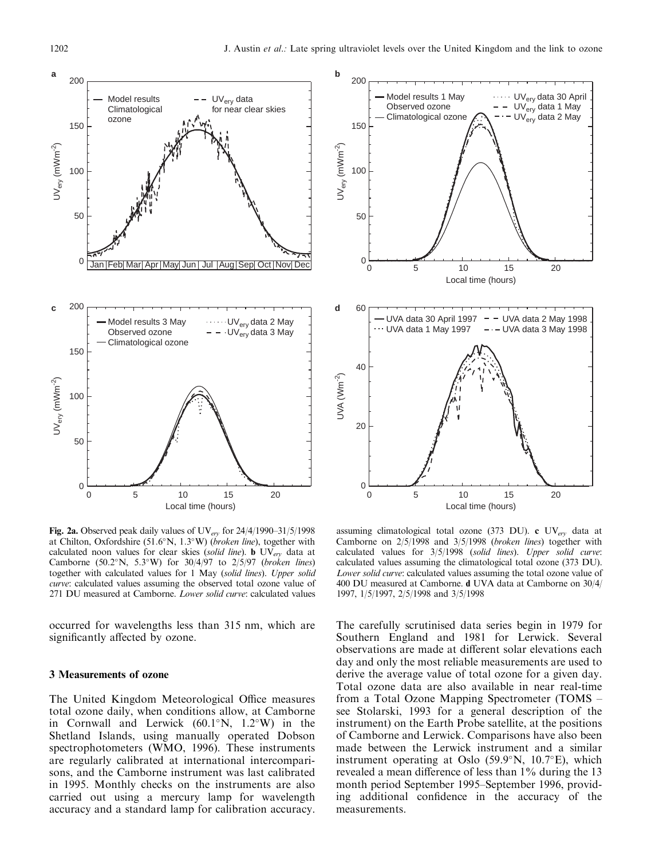

Fig. 2a. Observed peak daily values of  $UV_{\text{ery}}$  for 24/4/1990–31/5/1998 at Chilton, Oxfordshire (51.6°N, 1.3°W) (broken line), together with calculated noon values for clear skies (solid line). **b**  $UV_{ev}$  data at Camborne (50.2°N, 5.3°W) for 30/4/97 to 2/5/97 (broken lines) together with calculated values for 1 May (solid lines). Upper solid curve: calculated values assuming the observed total ozone value of 271 DU measured at Camborne. Lower solid curve: calculated values

occurred for wavelengths less than 315 nm, which are significantly affected by ozone.

#### 3 Measurements of ozone

The United Kingdom Meteorological Office measures total ozone daily, when conditions allow, at Camborne in Cornwall and Lerwick  $(60.1^{\circ}N, 1.2^{\circ}W)$  in the Shetland Islands, using manually operated Dobson spectrophotometers (WMO, 1996). These instruments are regularly calibrated at international intercomparisons, and the Camborne instrument was last calibrated in 1995. Monthly checks on the instruments are also carried out using a mercury lamp for wavelength accuracy and a standard lamp for calibration accuracy.



assuming climatological total ozone (373 DU). c  $UV_{ery}$  data at Camborne on 2/5/1998 and 3/5/1998 (broken lines) together with calculated values for 3/5/1998 (solid lines). Upper solid curve: calculated values assuming the climatological total ozone (373 DU). Lower solid curve: calculated values assuming the total ozone value of 400 DU measured at Camborne. d UVA data at Camborne on 30/4/ 1997, 1/5/1997, 2/5/1998 and 3/5/1998

The carefully scrutinised data series begin in 1979 for Southern England and 1981 for Lerwick. Several observations are made at different solar elevations each day and only the most reliable measurements are used to derive the average value of total ozone for a given day. Total ozone data are also available in near real-time from a Total Ozone Mapping Spectrometer (TOMS – see Stolarski, 1993 for a general description of the instrument) on the Earth Probe satellite, at the positions of Camborne and Lerwick. Comparisons have also been made between the Lerwick instrument and a similar instrument operating at Oslo  $(59.9^{\circ}N, 10.7^{\circ}E)$ , which revealed a mean difference of less than  $1\%$  during the 13 month period September 1995-September 1996, providing additional confidence in the accuracy of the measurements.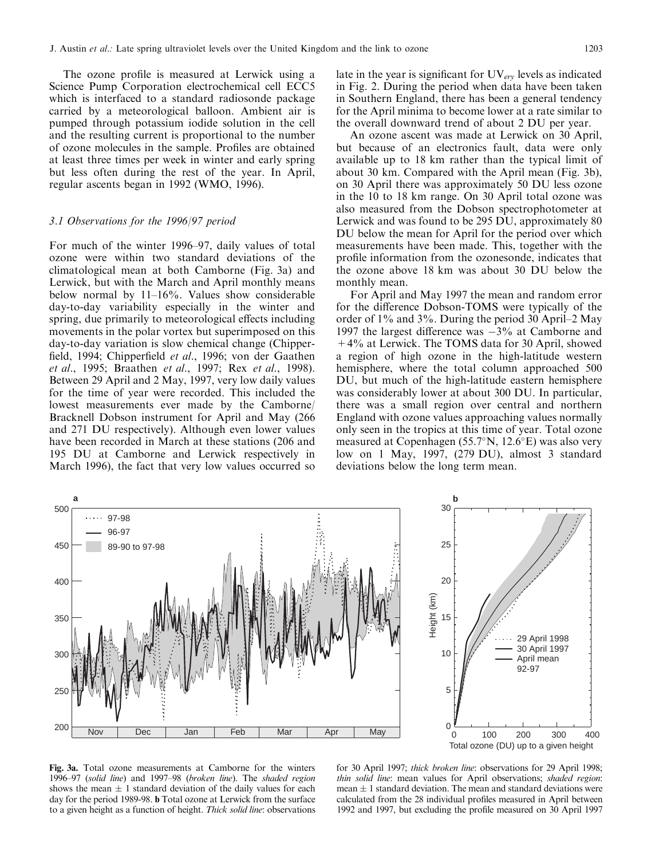The ozone profile is measured at Lerwick using a Science Pump Corporation electrochemical cell ECC5 which is interfaced to a standard radiosonde package carried by a meteorological balloon. Ambient air is pumped through potassium iodide solution in the cell and the resulting current is proportional to the number of ozone molecules in the sample. Profiles are obtained at least three times per week in winter and early spring but less often during the rest of the year. In April, regular ascents began in 1992 (WMO, 1996).

#### 3.1 Observations for the 1996/97 period

For much of the winter 1996–97, daily values of total ozone were within two standard deviations of the climatological mean at both Camborne (Fig. 3a) and Lerwick, but with the March and April monthly means below normal by  $11-16\%$ . Values show considerable day-to-day variability especially in the winter and spring, due primarily to meteorological effects including movements in the polar vortex but superimposed on this day-to-day variation is slow chemical change (Chipper field, 1994; Chipperfield et al., 1996; von der Gaathen et al., 1995; Braathen et al., 1997; Rex et al., 1998). Between 29 April and 2 May, 1997, very low daily values for the time of year were recorded. This included the lowest measurements ever made by the Camborne/ Bracknell Dobson instrument for April and May (266 and 271 DU respectively). Although even lower values have been recorded in March at these stations (206 and 195 DU at Camborne and Lerwick respectively in March 1996), the fact that very low values occurred so

late in the year is significant for  $UV_{ery}$  levels as indicated in Fig. 2. During the period when data have been taken in Southern England, there has been a general tendency for the April minima to become lower at a rate similar to the overall downward trend of about 2 DU per year.

An ozone ascent was made at Lerwick on 30 April, but because of an electronics fault, data were only available up to 18 km rather than the typical limit of about 30 km. Compared with the April mean (Fig. 3b), on 30 April there was approximately 50 DU less ozone in the 10 to 18 km range. On 30 April total ozone was also measured from the Dobson spectrophotometer at Lerwick and was found to be 295 DU, approximately 80 DU below the mean for April for the period over which measurements have been made. This, together with the profile information from the ozonesonde, indicates that the ozone above 18 km was about 30 DU below the monthly mean.

For April and May 1997 the mean and random error for the difference Dobson-TOMS were typically of the order of  $1\%$  and  $3\%$ . During the period 30 April–2 May 1997 the largest difference was  $-3\%$  at Camborne and +4% at Lerwick. The TOMS data for 30 April, showed a region of high ozone in the high-latitude western hemisphere, where the total column approached 500 DU, but much of the high-latitude eastern hemisphere was considerably lower at about 300 DU. In particular, there was a small region over central and northern England with ozone values approaching values normally only seen in the tropics at this time of year. Total ozone measured at Copenhagen (55.7°N, 12.6°E) was also very low on 1 May, 1997, (279 DU), almost 3 standard deviations below the long term mean.



Fig. 3a. Total ozone measurements at Camborne for the winters 1996-97 (solid line) and 1997-98 (broken line). The shaded region shows the mean  $\pm 1$  standard deviation of the daily values for each day for the period 1989-98. b Total ozone at Lerwick from the surface to a given height as a function of height. Thick solid line: observations

for 30 April 1997; thick broken line: observations for 29 April 1998; thin solid line: mean values for April observations; shaded region: mean  $\pm$  1 standard deviation. The mean and standard deviations were calculated from the 28 individual profiles measured in April between 1992 and 1997, but excluding the profile measured on 30 April 1997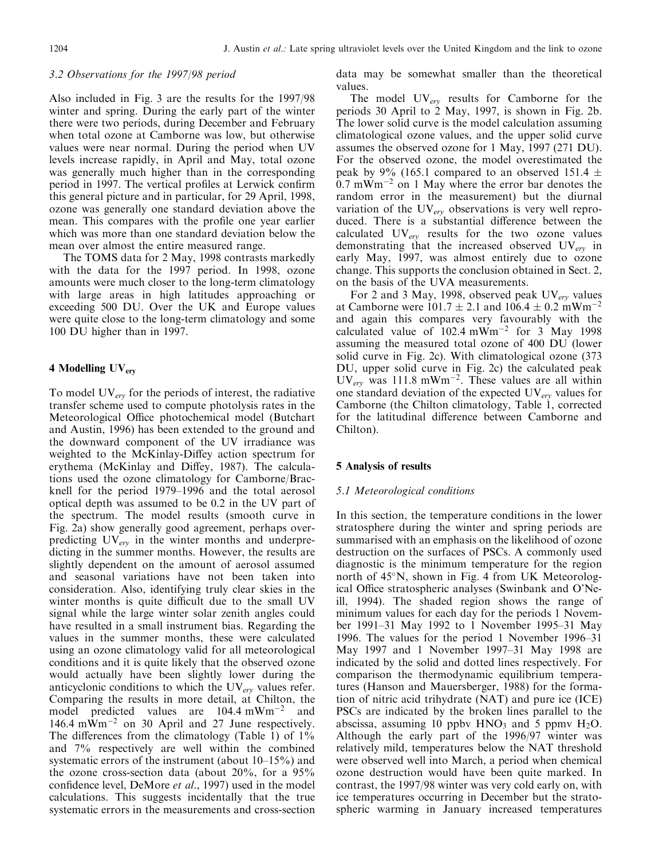## 3.2 Observations for the 1997/98 period

Also included in Fig. 3 are the results for the 1997/98 winter and spring. During the early part of the winter there were two periods, during December and February when total ozone at Camborne was low, but otherwise values were near normal. During the period when UV levels increase rapidly, in April and May, total ozone was generally much higher than in the corresponding period in 1997. The vertical profiles at Lerwick confirm this general picture and in particular, for 29 April, 1998, ozone was generally one standard deviation above the mean. This compares with the profile one year earlier which was more than one standard deviation below the mean over almost the entire measured range.

The TOMS data for 2 May, 1998 contrasts markedly with the data for the 1997 period. In 1998, ozone amounts were much closer to the long-term climatology with large areas in high latitudes approaching or exceeding 500 DU. Over the UK and Europe values were quite close to the long-term climatology and some 100 DU higher than in 1997.

## 4 Modelling UV<sub>erv</sub>

To model  $UV_{\text{erv}}$  for the periods of interest, the radiative transfer scheme used to compute photolysis rates in the Meteorological Office photochemical model (Butchart and Austin, 1996) has been extended to the ground and the downward component of the UV irradiance was weighted to the McKinlay-Diffey action spectrum for erythema (McKinlay and Diffey, 1987). The calculations used the ozone climatology for Camborne/Bracknell for the period 1979–1996 and the total aerosol optical depth was assumed to be 0.2 in the UV part of the spectrum. The model results (smooth curve in Fig. 2a) show generally good agreement, perhaps overpredicting  $UV_{\text{erv}}$  in the winter months and underpredicting in the summer months. However, the results are slightly dependent on the amount of aerosol assumed and seasonal variations have not been taken into consideration. Also, identifying truly clear skies in the winter months is quite difficult due to the small UV signal while the large winter solar zenith angles could have resulted in a small instrument bias. Regarding the values in the summer months, these were calculated using an ozone climatology valid for all meteorological conditions and it is quite likely that the observed ozone would actually have been slightly lower during the anticyclonic conditions to which the  $UV_{ery}$  values refer. Comparing the results in more detail, at Chilton, the model predicted values are  $104.4 \text{ mWm}^{-2}$  and  $146.4$  mWm<sup>-2</sup> on 30 April and 27 June respectively. The differences from the climatology (Table 1) of  $1\%$ and 7% respectively are well within the combined systematic errors of the instrument (about  $10-15\%$ ) and the ozone cross-section data (about 20%, for a 95% confidence level, DeMore et al., 1997) used in the model calculations. This suggests incidentally that the true systematic errors in the measurements and cross-section

data may be somewhat smaller than the theoretical values.

The model  $UV_{\text{ery}}$  results for Camborne for the periods 30 April to 2 May, 1997, is shown in Fig. 2b. The lower solid curve is the model calculation assuming climatological ozone values, and the upper solid curve assumes the observed ozone for 1 May, 1997 (271 DU). For the observed ozone, the model overestimated the peak by 9% (165.1 compared to an observed 151.4  $\pm$  $0.7 \text{ mWm}^{-2}$  on 1 May where the error bar denotes the random error in the measurement) but the diurnal variation of the  $UV_{ery}$  observations is very well reproduced. There is a substantial difference between the calculated  $UV_{\text{ery}}$  results for the two ozone values demonstrating that the increased observed  $UV_{erv}$  in early May, 1997, was almost entirely due to ozone change. This supports the conclusion obtained in Sect. 2, on the basis of the UVA measurements.

For 2 and 3 May, 1998, observed peak  $UV_{ery}$  values at Camborne were  $101.7 \pm 2.1$  and  $106.4 \pm 0.2$  mWm<sup>-2</sup> and again this compares very favourably with the calculated value of  $102.4 \text{ mWm}^{-2}$  for 3 May 1998 assuming the measured total ozone of 400 DU (lower solid curve in Fig. 2c). With climatological ozone (373 DU, upper solid curve in Fig. 2c) the calculated peak  $UV_{\text{erv}}$  was 111.8 mWm<sup>-2</sup>. These values are all within one standard deviation of the expected  $UV_{erv}$  values for Camborne (the Chilton climatology, Table 1, corrected for the latitudinal difference between Camborne and Chilton).

### 5 Analysis of results

#### 5.1 Meteorological conditions

In this section, the temperature conditions in the lower stratosphere during the winter and spring periods are summarised with an emphasis on the likelihood of ozone destruction on the surfaces of PSCs. A commonly used diagnostic is the minimum temperature for the region north of  $45^{\circ}$ N, shown in Fig. 4 from UK Meteorological Office stratospheric analyses (Swinbank and O'Neill, 1994). The shaded region shows the range of minimum values for each day for the periods 1 November 1991–31 May 1992 to 1 November 1995–31 May 1996. The values for the period 1 November 1996 $-31$ May 1997 and 1 November 1997–31 May 1998 are indicated by the solid and dotted lines respectively. For comparison the thermodynamic equilibrium temperatures (Hanson and Mauersberger, 1988) for the formation of nitric acid trihydrate (NAT) and pure ice (ICE) PSCs are indicated by the broken lines parallel to the abscissa, assuming 10 ppby  $HNO<sub>3</sub>$  and 5 ppmy  $H<sub>2</sub>O$ . Although the early part of the 1996/97 winter was relatively mild, temperatures below the NAT threshold were observed well into March, a period when chemical ozone destruction would have been quite marked. In contrast, the 1997/98 winter was very cold early on, with ice temperatures occurring in December but the stratospheric warming in January increased temperatures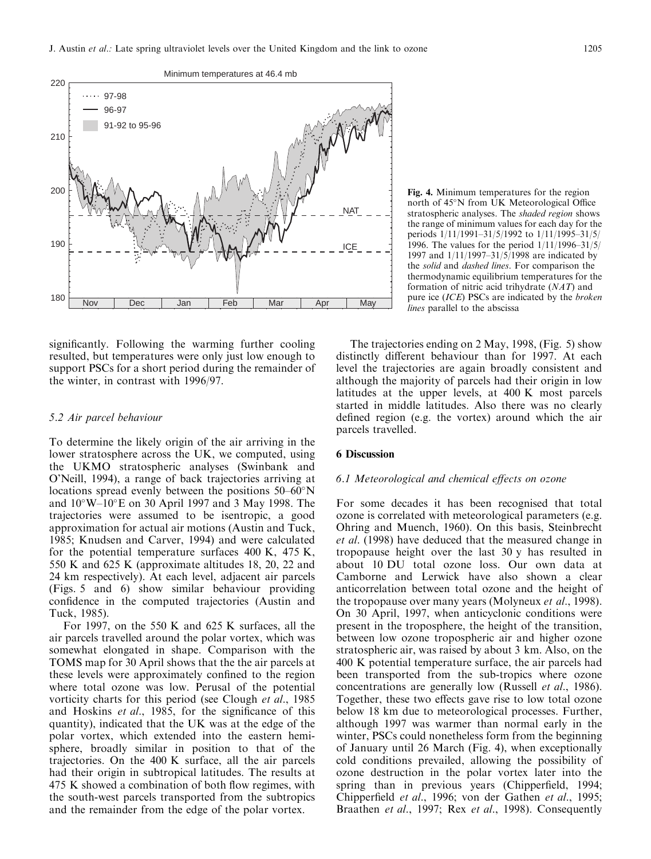

significantly. Following the warming further cooling resulted, but temperatures were only just low enough to support PSCs for a short period during the remainder of the winter, in contrast with 1996/97.

#### 5.2 Air parcel behaviour

To determine the likely origin of the air arriving in the lower stratosphere across the UK, we computed, using the UKMO stratospheric analyses (Swinbank and O'Neill, 1994), a range of back trajectories arriving at locations spread evenly between the positions  $50-60^{\circ}N$ and  $10^{\circ}$ W $-10^{\circ}$ E on 30 April 1997 and 3 May 1998. The trajectories were assumed to be isentropic, a good approximation for actual air motions (Austin and Tuck, 1985; Knudsen and Carver, 1994) and were calculated for the potential temperature surfaces 400 K, 475 K, 550 K and 625 K (approximate altitudes 18, 20, 22 and 24 km respectively). At each level, adjacent air parcels (Figs. 5 and 6) show similar behaviour providing confidence in the computed trajectories (Austin and Tuck, 1985).

For 1997, on the 550 K and 625 K surfaces, all the air parcels travelled around the polar vortex, which was somewhat elongated in shape. Comparison with the TOMS map for 30 April shows that the the air parcels at these levels were approximately confined to the region where total ozone was low. Perusal of the potential vorticity charts for this period (see Clough et al., 1985 and Hoskins et al., 1985, for the significance of this quantity), indicated that the UK was at the edge of the polar vortex, which extended into the eastern hemisphere, broadly similar in position to that of the trajectories. On the 400 K surface, all the air parcels had their origin in subtropical latitudes. The results at  $475$  K showed a combination of both flow regimes, with the south-west parcels transported from the subtropics and the remainder from the edge of the polar vortex.

Fig. 4. Minimum temperatures for the region north of 45°N from UK Meteorological Office stratospheric analyses. The shaded region shows the range of minimum values for each day for the periods  $1/11/1991-31/5/1992$  to  $1/11/1995-31/5/1992$ 1996. The values for the period  $1/11/1996-31/5/$ 1997 and  $1/11/1997-31/5/1998$  are indicated by the solid and dashed lines. For comparison the thermodynamic equilibrium temperatures for the formation of nitric acid trihydrate (NAT) and pure ice (ICE) PSCs are indicated by the broken lines parallel to the abscissa

The trajectories ending on 2 May, 1998, (Fig. 5) show distinctly different behaviour than for 1997. At each level the trajectories are again broadly consistent and although the majority of parcels had their origin in low latitudes at the upper levels, at 400 K most parcels started in middle latitudes. Also there was no clearly defined region (e.g. the vortex) around which the air parcels travelled.

## 6 Discussion

#### 6.1 Meteorological and chemical effects on ozone

For some decades it has been recognised that total ozone is correlated with meteorological parameters (e.g. Ohring and Muench, 1960). On this basis, Steinbrecht et al. (1998) have deduced that the measured change in tropopause height over the last 30 y has resulted in about 10 DU total ozone loss. Our own data at Camborne and Lerwick have also shown a clear anticorrelation between total ozone and the height of the tropopause over many years (Molyneux et al., 1998). On 30 April, 1997, when anticyclonic conditions were present in the troposphere, the height of the transition, between low ozone tropospheric air and higher ozone stratospheric air, was raised by about 3 km. Also, on the 400 K potential temperature surface, the air parcels had been transported from the sub-tropics where ozone concentrations are generally low (Russell *et al.*, 1986). Together, these two effects gave rise to low total ozone below 18 km due to meteorological processes. Further, although 1997 was warmer than normal early in the winter, PSCs could nonetheless form from the beginning of January until 26 March (Fig. 4), when exceptionally cold conditions prevailed, allowing the possibility of ozone destruction in the polar vortex later into the spring than in previous years (Chipperfield, 1994; Chipperfield et al., 1996; von der Gathen et al., 1995; Braathen et al., 1997; Rex et al., 1998). Consequently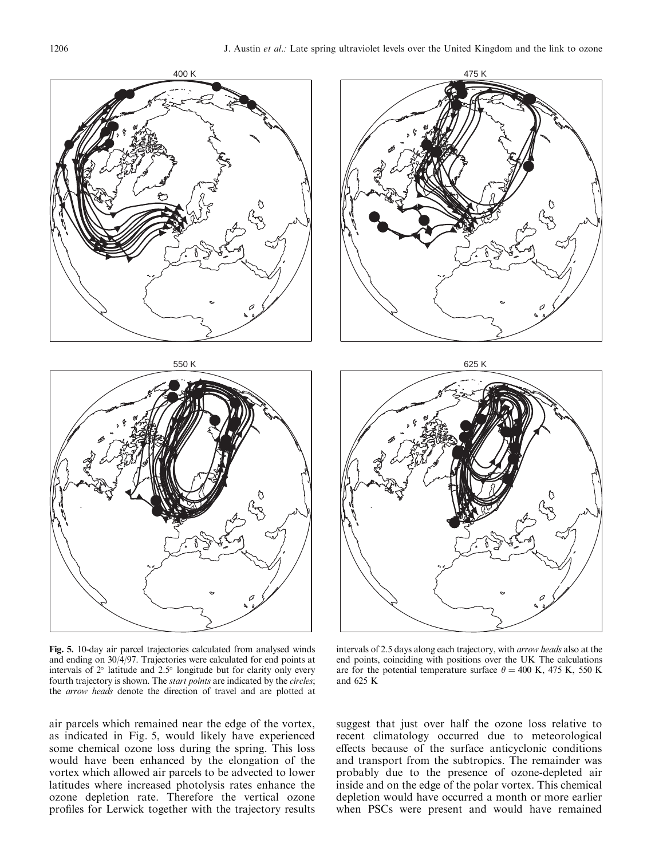



Fig. 5. 10-day air parcel trajectories calculated from analysed winds and ending on 30/4/97. Trajectories were calculated for end points at intervals of  $2^{\circ}$  latitude and  $2.5^{\circ}$  longitude but for clarity only every fourth trajectory is shown. The *start points* are indicated by the *circles*; the arrow heads denote the direction of travel and are plotted at

air parcels which remained near the edge of the vortex, as indicated in Fig. 5, would likely have experienced some chemical ozone loss during the spring. This loss would have been enhanced by the elongation of the vortex which allowed air parcels to be advected to lower latitudes where increased photolysis rates enhance the ozone depletion rate. Therefore the vertical ozone profiles for Lerwick together with the trajectory results





intervals of 2.5 days along each trajectory, with arrow heads also at the end points, coinciding with positions over the UK The calculations are for the potential temperature surface  $\theta = 400$  K, 475 K, 550 K and 625 K

suggest that just over half the ozone loss relative to recent climatology occurred due to meteorological effects because of the surface anticyclonic conditions and transport from the subtropics. The remainder was probably due to the presence of ozone-depleted air inside and on the edge of the polar vortex. This chemical depletion would have occurred a month or more earlier when PSCs were present and would have remained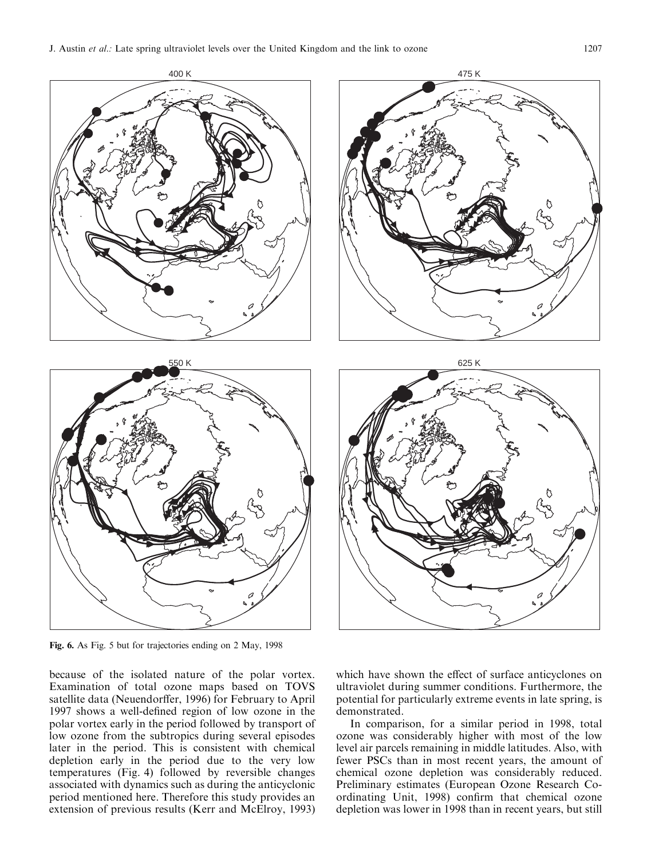



Fig. 6. As Fig. 5 but for trajectories ending on 2 May, 1998

because of the isolated nature of the polar vortex. Examination of total ozone maps based on TOVS satellite data (Neuendorffer, 1996) for February to April 1997 shows a well-defined region of low ozone in the polar vortex early in the period followed by transport of low ozone from the subtropics during several episodes later in the period. This is consistent with chemical depletion early in the period due to the very low temperatures (Fig. 4) followed by reversible changes associated with dynamics such as during the anticyclonic period mentioned here. Therefore this study provides an extension of previous results (Kerr and McElroy, 1993)





which have shown the effect of surface anticyclones on ultraviolet during summer conditions. Furthermore, the potential for particularly extreme events in late spring, is demonstrated.

In comparison, for a similar period in 1998, total ozone was considerably higher with most of the low level air parcels remaining in middle latitudes. Also, with fewer PSCs than in most recent years, the amount of chemical ozone depletion was considerably reduced. Preliminary estimates (European Ozone Research Coordinating Unit, 1998) confirm that chemical ozone depletion was lower in 1998 than in recent years, but still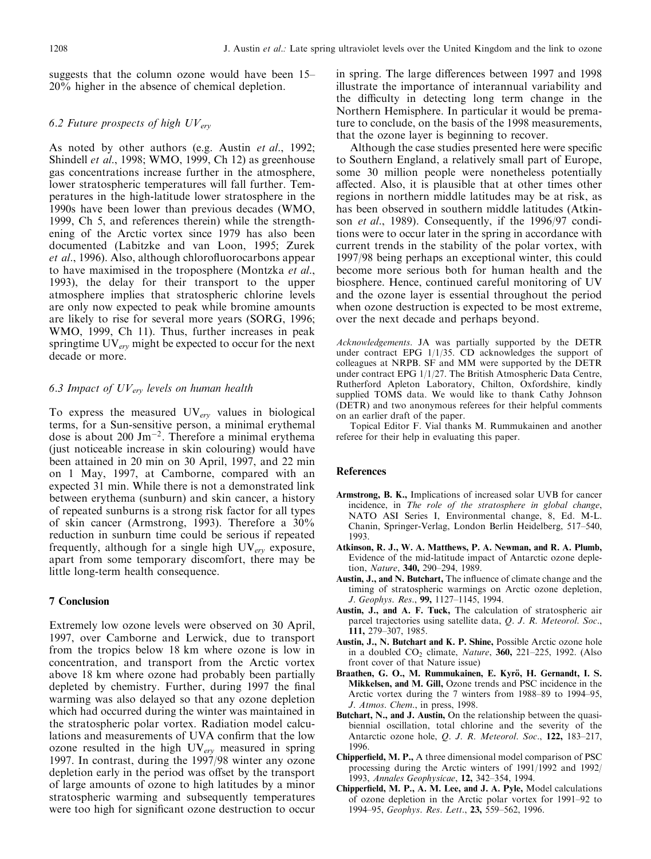suggests that the column ozone would have been  $15-$ 20% higher in the absence of chemical depletion.

## 6.2 Future prospects of high  $UV_{erv}$

As noted by other authors (e.g. Austin et al., 1992; Shindell et al., 1998; WMO, 1999, Ch 12) as greenhouse gas concentrations increase further in the atmosphere, lower stratospheric temperatures will fall further. Temperatures in the high-latitude lower stratosphere in the 1990s have been lower than previous decades (WMO, 1999, Ch 5, and references therein) while the strengthening of the Arctic vortex since 1979 has also been documented (Labitzke and van Loon, 1995; Zurek et al., 1996). Also, although chlorofluorocarbons appear to have maximised in the troposphere (Montzka et al., 1993), the delay for their transport to the upper atmosphere implies that stratospheric chlorine levels are only now expected to peak while bromine amounts are likely to rise for several more years (SORG, 1996; WMO, 1999, Ch 11). Thus, further increases in peak springtime  $UV_{ery}$  might be expected to occur for the next decade or more.

# 6.3 Impact of  $UV_{\text{erv}}$  levels on human health

To express the measured  $UV_{\text{ery}}$  values in biological terms, for a Sun-sensitive person, a minimal erythemal dose is about 200 Jm<sup>-2</sup>. Therefore a minimal erythema (just noticeable increase in skin colouring) would have been attained in 20 min on 30 April, 1997, and 22 min on 1 May, 1997, at Camborne, compared with an expected 31 min. While there is not a demonstrated link between erythema (sunburn) and skin cancer, a history of repeated sunburns is a strong risk factor for all types of skin cancer (Armstrong, 1993). Therefore a 30% reduction in sunburn time could be serious if repeated frequently, although for a single high  $UV_{ery}$  exposure, apart from some temporary discomfort, there may be little long-term health consequence.

## 7 Conclusion

Extremely low ozone levels were observed on 30 April, 1997, over Camborne and Lerwick, due to transport from the tropics below 18 km where ozone is low in concentration, and transport from the Arctic vortex above 18 km where ozone had probably been partially depleted by chemistry. Further, during 1997 the final warming was also delayed so that any ozone depletion which had occurred during the winter was maintained in the stratospheric polar vortex. Radiation model calculations and measurements of UVA confirm that the low ozone resulted in the high  $UV_{erv}$  measured in spring 1997. In contrast, during the 1997/98 winter any ozone depletion early in the period was offset by the transport of large amounts of ozone to high latitudes by a minor stratospheric warming and subsequently temperatures were too high for significant ozone destruction to occur in spring. The large differences between 1997 and 1998 illustrate the importance of interannual variability and the difficulty in detecting long term change in the Northern Hemisphere. In particular it would be premature to conclude, on the basis of the 1998 measurements, that the ozone layer is beginning to recover.

Although the case studies presented here were specific to Southern England, a relatively small part of Europe, some 30 million people were nonetheless potentially affected. Also, it is plausible that at other times other regions in northern middle latitudes may be at risk, as has been observed in southern middle latitudes (Atkinson et al., 1989). Consequently, if the 1996/97 conditions were to occur later in the spring in accordance with current trends in the stability of the polar vortex, with 1997/98 being perhaps an exceptional winter, this could become more serious both for human health and the biosphere. Hence, continued careful monitoring of UV and the ozone layer is essential throughout the period when ozone destruction is expected to be most extreme, over the next decade and perhaps beyond.

Acknowledgements. JA was partially supported by the DETR under contract EPG 1/1/35. CD acknowledges the support of colleagues at NRPB. SF and MM were supported by the DETR under contract EPG 1/1/27. The British Atmospheric Data Centre, Rutherford Apleton Laboratory, Chilton, Oxfordshire, kindly supplied TOMS data. We would like to thank Cathy Johnson (DETR) and two anonymous referees for their helpful comments on an earlier draft of the paper.

Topical Editor F. Vial thanks M. Rummukainen and another referee for their help in evaluating this paper.

#### References

- Armstrong, B. K., Implications of increased solar UVB for cancer incidence, in The role of the stratosphere in global change, NATO ASI Series I, Environmental change, 8, Ed. M-L. Chanin, Springer-Verlag, London Berlin Heidelberg, 517-540, 1993.
- Atkinson, R. J., W. A. Matthews, P. A. Newman, and R. A. Plumb, Evidence of the mid-latitude impact of Antarctic ozone depletion, Nature, 340, 290-294, 1989.
- Austin, J., and N. Butchart, The influence of climate change and the timing of stratospheric warmings on Arctic ozone depletion, J. Geophys. Res., 99, 1127-1145, 1994.
- Austin, J., and A. F. Tuck, The calculation of stratospheric air parcel trajectories using satellite data, Q. J. R. Meteorol. Soc., 111, 279±307, 1985.
- Austin, J., N. Butchart and K. P. Shine, Possible Arctic ozone hole in a doubled  $CO<sub>2</sub>$  climate, *Nature*, **360**, 221-225, 1992. (Also front cover of that Nature issue)
- Braathen, G. O., M. Rummukainen, E. Kyrö, H. Gernandt, I. S. Mikkelsen, and M. Gill, Ozone trends and PSC incidence in the Arctic vortex during the 7 winters from 1988-89 to 1994-95, J. Atmos. Chem., in press, 1998.
- Butchart, N., and J. Austin, On the relationship between the quasibiennial oscillation, total chlorine and the severity of the Antarctic ozone hole, Q. J. R. Meteorol. Soc., 122, 183-217, 1996.
- Chipperfield, M. P., A three dimensional model comparison of PSC processing during the Arctic winters of 1991/1992 and 1992/ 1993, Annales Geophysicae, 12, 342-354, 1994.
- Chipperfield, M. P., A. M. Lee, and J. A. Pyle, Model calculations of ozone depletion in the Arctic polar vortex for 1991–92 to 1994-95, Geophys. Res. Lett., 23, 559-562, 1996.